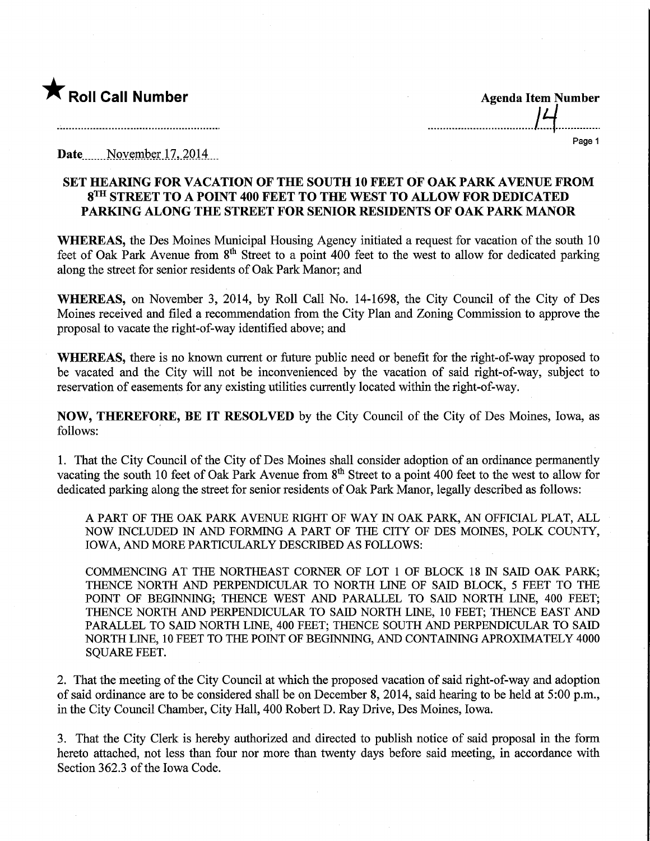

Page 1

Date....November 17, 2014

## SET HEARING FOR VACATION OF THE SOUTH 10 FEET OF OAK PARK AVENUE FROM 8™ STREET TO A POINT 400 FEET TO THE WEST TO ALLOW FOR DEDICATED PARKING ALONG THE STREET FOR SENIOR RESIDENTS OF OAK PARK MANOR

WHEREAS, the Des Moines Municipal Housing Agency initiated a request for vacation of the south 10 feet of Oak Park Avenue from  $8<sup>th</sup>$  Street to a point 400 feet to the west to allow for dedicated parking along the street for senior residents of Oak Park Manor; and

WHEREAS, on November 3, 2014, by Roll Call No. 14-1698, the City Council of the City of Des Moines received and filed a recommendation from the City Plan and Zoning Commission to approve the proposal to vacate the right-of-way identified above; and

WHEREAS, there is no known current or future public need or benefit for the right-of-way proposed to be vacated and the City will not be inconvenienced by the vacation of said right-of-way, subject to reservation of easements for any existing utilities currently located within the right-of-way.

NOW, THEREFORE, BE IT RESOLVED by the City Council of the City of Des Moines, Iowa, as follows:

1. That the City Council of the City of Des Moines shall consider adoption of an ordinance permanently vacating the south 10 feet of Oak Park Avenue from 8<sup>th</sup> Street to a point 400 feet to the west to allow for dedicated parking along the street for senior residents of Oak Park Manor, legally described as follows:

A PART OF THE OAK PARK AVENUE RIGHT OF WAY IN OAK PARK, AN OFFICIAL PLAT, ALL NOW INCLUDED IN AND FORMING A PART OF THE CITY OF DES MOINES, POLK COUNTY, IOWA, AND MORE PARTICULARLY DESCRIBED AS FOLLOWS:

COMMENCING AT THE NORTHEAST CORNER OF LOT 1 OF BLOCK 18 IN SAID OAK PARK; THENCE NORTH AND PERPENDICULAR TO NORTH LINE OF SAID BLOCK, 5 FEET TO THE POINT OF BEGINNING; THENCE WEST AND PARALLEL TO SAID NORTH LINE, 400 FEET; THENCE NORTH AND PERPENDICULAR TO SAID NORTH LINE, 10 FEET; THENCE EAST AND PARALLEL TO SAID NORTH LINE, 400 FEET; THENCE SOUTH AND PERPENDICULAR TO SAID NORTH LINE, 10 FEET TO THE POINT OF BEGINNING, AND CONTAINING APROXIMATELY 4000 SQUARE FEET.

2. That the meeting of the City Council at which the proposed vacation of said right-of-way and adoption of said ordinance are to be considered shall be on December 8, 2014, said hearing to be held at 5:00 p.m., in the City Council Chamber, City Hall, 400 Robert D. Ray Drive, Des Moines, Iowa.

3. That the City Clerk is hereby authorized and directed to publish notice of said proposal in the form hereto attached, not less than four nor more than twenty days before said meeting, in accordance with Section 362.3 of the Iowa Code.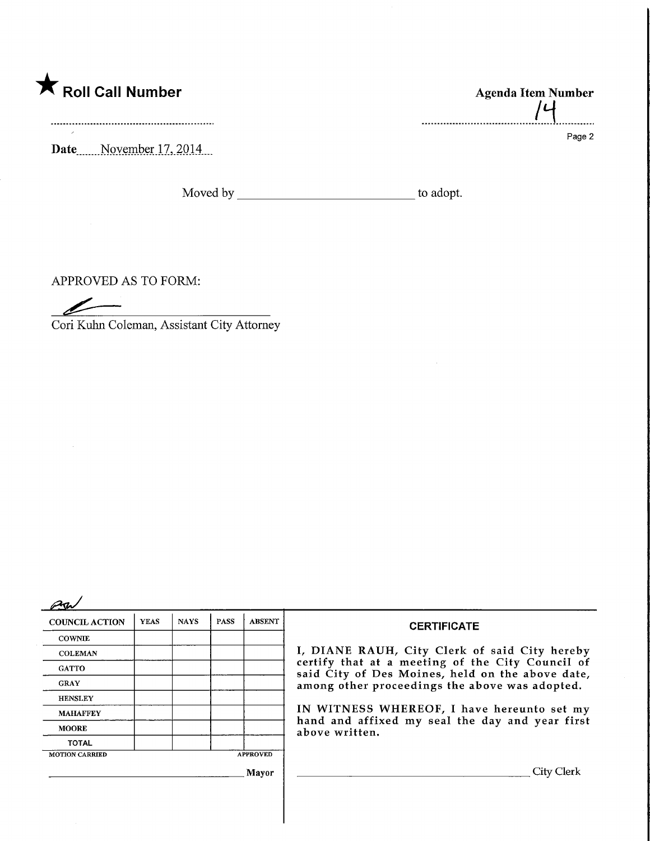

Date.......November.17, 2014...

Moved by to adopt.

APPROVED AS TO FORM:

 $\bar{\lambda}$ 

Cori Kuhn Coleman, Assistant City Attorney

| <b>COUNCIL ACTION</b> | <b>YEAS</b> | <b>NAYS</b> | <b>PASS</b> | <b>ABSENT</b>   | <b>CERTIFICATE</b>                                                                                                                                     |  |  |
|-----------------------|-------------|-------------|-------------|-----------------|--------------------------------------------------------------------------------------------------------------------------------------------------------|--|--|
| <b>COWNIE</b>         |             |             |             |                 |                                                                                                                                                        |  |  |
| <b>COLEMAN</b>        |             |             |             |                 | I, DIANE RAUH, City Clerk of said City hereby                                                                                                          |  |  |
| <b>GATTO</b>          |             |             |             |                 | certify that at a meeting of the City Council of<br>said City of Des Moines, held on the above date,<br>among other proceedings the above was adopted. |  |  |
| <b>GRAY</b>           |             |             |             |                 |                                                                                                                                                        |  |  |
| <b>HENSLEY</b>        |             |             |             |                 | IN WITNESS WHEREOF, I have hereunto set my<br>hand and affixed my seal the day and year first<br>above written.                                        |  |  |
| <b>MAHAFFEY</b>       |             |             |             |                 |                                                                                                                                                        |  |  |
| <b>MOORE</b>          |             |             |             |                 |                                                                                                                                                        |  |  |
| <b>TOTAL</b>          |             |             |             |                 |                                                                                                                                                        |  |  |
| <b>MOTION CARRIED</b> |             |             |             | <b>APPROVED</b> |                                                                                                                                                        |  |  |
|                       |             |             |             | Mayor           | City Clerk                                                                                                                                             |  |  |
|                       |             |             |             |                 |                                                                                                                                                        |  |  |
|                       |             |             |             |                 |                                                                                                                                                        |  |  |

Agenda Item Number .......................... . . . . . . .

Page 2